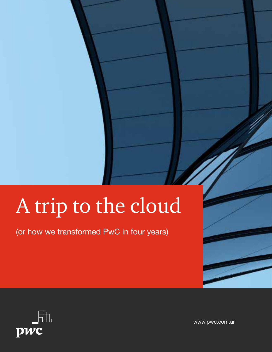## A trip to the cloud

(or how we transformed PwC in four years)



www.pwc.com.ar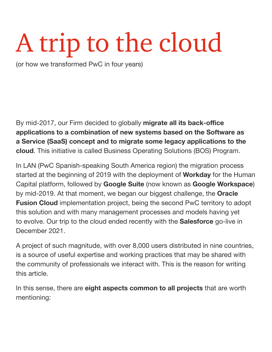# A trip to the cloud

(or how we transformed PwC in four years)

By mid-2017, our Firm decided to globally migrate all its back-office applications to a combination of new systems based on the Software as a Service (SaaS) concept and to migrate some legacy applications to the cloud. This initiative is called Business Operating Solutions (BOS) Program.

In LAN (PwC Spanish-speaking South America region) the migration process started at the beginning of 2019 with the deployment of **Workday** for the Human Capital platform, followed by Google Suite (now known as Google Workspace) by mid-2019. At that moment, we began our biggest challenge, the Oracle Fusion Cloud implementation project, being the second PwC territory to adopt this solution and with many management processes and models having yet to evolve. Our trip to the cloud ended recently with the Salesforce go-live in December 2021.

A project of such magnitude, with over 8,000 users distributed in nine countries, is a source of useful expertise and working practices that may be shared with the community of professionals we interact with. This is the reason for writing this article.

In this sense, there are eight aspects common to all projects that are worth mentioning: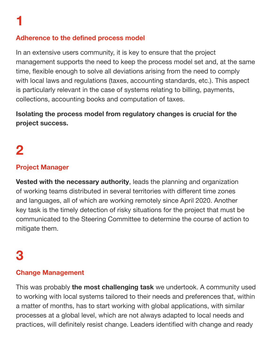1

#### Adherence to the defined process model

In an extensive users community, it is key to ensure that the project management supports the need to keep the process model set and, at the same time, flexible enough to solve all deviations arising from the need to comply with local laws and regulations (taxes, accounting standards, etc.). This aspect is particularly relevant in the case of systems relating to billing, payments, collections, accounting books and computation of taxes.

### Isolating the process model from regulatory changes is crucial for the project success.

### 2

#### Project Manager

Vested with the necessary authority, leads the planning and organization of working teams distributed in several territories with different time zones and languages, all of which are working remotely since April 2020. Another key task is the timely detection of risky situations for the project that must be communicated to the Steering Committee to determine the course of action to mitigate them.

### 3

#### Change Management

This was probably the most challenging task we undertook. A community used to working with local systems tailored to their needs and preferences that, within a matter of months, has to start working with global applications, with similar processes at a global level, which are not always adapted to local needs and practices, will definitely resist change. Leaders identified with change and ready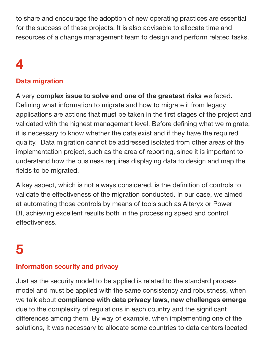to share and encourage the adoption of new operating practices are essential for the success of these projects. It is also advisable to allocate time and resources of a change management team to design and perform related tasks.

### 4

#### Data migration

A very complex issue to solve and one of the greatest risks we faced. Defining what information to migrate and how to migrate it from legacy applications are actions that must be taken in the first stages of the project and validated with the highest management level. Before defining what we migrate, it is necessary to know whether the data exist and if they have the required quality. Data migration cannot be addressed isolated from other areas of the implementation project, such as the area of reporting, since it is important to understand how the business requires displaying data to design and map the fields to be migrated.

A key aspect, which is not always considered, is the definition of controls to validate the effectiveness of the migration conducted. In our case, we aimed at automating those controls by means of tools such as Alteryx or Power BI, achieving excellent results both in the processing speed and control effectiveness.

### 5

#### Information security and privacy

Just as the security model to be applied is related to the standard process model and must be applied with the same consistency and robustness, when we talk about compliance with data privacy laws, new challenges emerge due to the complexity of regulations in each country and the significant differences among them. By way of example, when implementing one of the solutions, it was necessary to allocate some countries to data centers located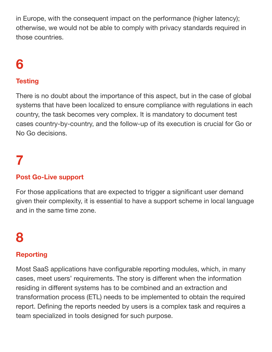in Europe, with the consequent impact on the performance (higher latency); otherwise, we would not be able to comply with privacy standards required in those countries.

### 6

### **Testing**

There is no doubt about the importance of this aspect, but in the case of global systems that have been localized to ensure compliance with regulations in each country, the task becomes very complex. It is mandatory to document test cases country-by-country, and the follow-up of its execution is crucial for Go or No Go decisions.

### 7

#### Post Go-Live support

For those applications that are expected to trigger a significant user demand given their complexity, it is essential to have a support scheme in local language and in the same time zone.

### 8

### Reporting

Most SaaS applications have configurable reporting modules, which, in many cases, meet users' requirements. The story is different when the information residing in different systems has to be combined and an extraction and transformation process (ETL) needs to be implemented to obtain the required report. Defining the reports needed by users is a complex task and requires a team specialized in tools designed for such purpose.